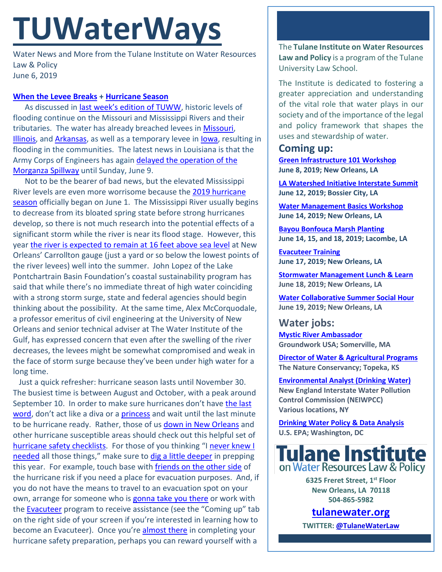# **TUWaterWays**

Water News and More from the Tulane Institute on Water Resources Law & Policy June 6, 2019

## **[When the Levee Breaks](https://www.youtube.com/watch?v=swhEa8vuP6U) + [Hurricane Season](https://www.youtube.com/watch?v=gSkKSviyPKk)**

As discussed in [last week's edition of TUWW,](https://docs.wixstatic.com/ugd/32079b_6c460d0b487f4340bc3a33fa789728f9.pdf) historic levels of flooding continue on the Missouri and Mississippi Rivers and their tributaries. The water has already breached levees in [Missouri,](https://www.wwltv.com/article/weather/flooding/mississippi-river-breaches-levee-in-missouri/289-c811997c-9bc7-4ef9-9b27-da7814df11a6?fbclid=IwAR0btIixEFDCCvNN9UWJmrUF96uRVTm7ZPxrd1p7-wFQNxHFebZsgBCddu4) [Illinois,](https://www.kmov.com/news/nutwood-levee-along-illinois-river-breaches/article_8a32487c-865d-11e9-9951-37b31a833840.html) and [Arkansas,](https://www.clarionledger.com/story/news/nation/2019/05/29/arkansas-river-flood-danger-levees-threatened-arkansas-oklahoma/1268616001/) as well as a temporary levee in [Iowa,](https://www.cnn.com/2019/05/06/us/davenport-flooding-midwest/index.html) resulting in flooding in the communities. The latest news in Louisiana is that the Army Corps of Engineers has again delayed the operation of the [Morganza Spillway](https://www.nola.com/weather/2019/06/morganza-spillway-opening-delayed-but-tropical-system-may-also-threaten-new-orleans.html?fbclid=IwAR12yM0GyGZtLWKSYgFPGMErTwjY0rCq6kdih_SiGZarYJFnDeI2uYaBG7w) until Sunday, June 9.

 Not to be the bearer of bad news, but the elevated Mississippi River levels are even more worrisome because the 2019 [hurricane](https://www.nola.com/weather/2019/06/hurricane-season-2019-here-we-go-again.html)  [season](https://www.nola.com/weather/2019/06/hurricane-season-2019-here-we-go-again.html) officially began on June 1. The Mississippi River usually begins to decrease from its bloated spring state before strong hurricanes develop, so there is not much research into the potential effects of a significant storm while the river is near its flood stage. However, this year [the river is expected to remain at 16 feet above sea level](https://www.theadvocate.com/new_orleans/news/environment/article_1dd8a03c-84bd-11e9-a07e-eb495184ea7a.html) at New Orleans' Carrollton gauge (just a yard or so below the lowest points of the river levees) well into the summer. John Lopez of the Lake Pontchartrain Basin Foundation's coastal sustainability program has said that while there's no immediate threat of high water coinciding with a strong storm surge, state and federal agencies should begin thinking about the possibility. At the same time, Alex McCorquodale, a professor emeritus of civil engineering at the University of New Orleans and senior technical adviser at The Water Institute of the Gulf, has expressed concern that even after the swelling of the river decreases, the levees might be somewhat compromised and weak in the face of storm surge because they've been under high water for a long time.

 Just a quick refresher: hurricane season lasts until November 30. The busiest time is between August and October, with a peak around September 10. In order to make sure hurricanes don't have the last [word,](https://www.nytimes.com/video/obituaries/100000001635129/leah-chase-obituary.html) don't act like a diva or a [princess](https://www.youtube.com/watch?v=S_4z9u_h6EM) and wait until the last minute to be hurricane ready. Rather, those of u[s down in New Orleans](https://www.youtube.com/watch?v=RymwioSbABg) and other hurricane susceptible areas should check out this helpful set of [hurricane safety checklists.](https://hurricanesafety.org/prepare/hurricane-safety-checklists/) For those of you thinking "I [never knew I](https://www.youtube.com/watch?v=JAvYX5baGNI)  [needed](https://www.youtube.com/watch?v=JAvYX5baGNI) all those things," make sure to [dig a little deeper](https://www.youtube.com/watch?v=_lkyqLhLXQ4) in prepping this year. For example, touch base with [friends on the other side](https://www.youtube.com/watch?v=g00kEcGh4j8) of the hurricane risk if you need a place for evacuation purposes. And, if you do not have the means to travel to an evacuation spot on your own, arrange for someone who is [gonna take you there](https://www.youtube.com/watch?v=K3mDfFe1nuE) or work with the **Evacuteer** program to receive assistance (see the "Coming up" tab on the right side of your screen if you're interested in learning how to become an Evacuteer). Once you're **almost there** in completing your hurricane safety preparation, perhaps you can reward yourself with a

The **Tulane Institute on Water Resources Law and Policy** is a program of the Tulane University Law School.

The Institute is dedicated to fostering a greater appreciation and understanding of the vital role that water plays in our society and of the importance of the legal and policy framework that shapes the uses and stewardship of water.

# **Coming up:**

**[Green Infrastructure 101 Workshop](https://www.facebook.com/events/801266416937957/) June 8, 2019; New Orleans, LA**

**LA [Watershed Initiative Interstate Summit](https://watershed.la.gov/interstate-summit-rsvp) June 12, 2019; Bossier City, LA**

**[Water Management](https://www.facebook.com/events/1025152247875531/) Basics Workshop June 14, 2019; New Orleans, LA**

**[Bayou Bonfouca Marsh](https://www.eventbrite.com/e/bayou-bonfouca-marsh-restoration-planting-event-on-june-14-2019-tickets-62006855173?aff=ebapi) Planting June 14, 15, and 18, 2019; Lacombe, LA**

**[Evacuteer Training](http://evacuteer.org/events?mc_cid=c53c5544fa&mc_eid=774b14e221) June 17, 2019; New Orleans, LA**

**[Stormwater Management Lunch & Learn](https://www.nolawater.org/lunch-and-learn-series) June 18, 2019; New Orleans, LA**

**[Water Collaborative Summer](https://louisianastormwater.wufoo.com/forms/z1ca8kpx0zr26av/?mc_cid=c53c5544fa&mc_eid=774b14e221) Social Hour June 19, 2019; New Orleans, LA**

**Water jobs: [Mystic River Ambassador](https://groundworkusa.org/wp-content/uploads/2019/05/Groundwork-Somerville-Mystic-Ambassador-Position.pdf) Groundwork USA; Somerville, MA**

**Director of Water & [Agricultural Programs](https://careers.nature.org/psp/tnccareers/APPLICANT/APPL/c/HRS_HRAM.HRS_APP_SCHJOB.GBL?Page=HRS_APP_JBPST&Action=U&FOCUS=Applicant&SiteId=1&JobOpeningId=47680&PostingSeq=1) The Nature Conservancy; Topeka, KS**

**[Environmental Analyst \(Drinking Water\)](http://neiwpcc.org/about-us/careers/current-openings/) New England Interstate Water Pollution Control Commission (NEIWPCC) Various locations, NY**

**[Drinking Water Policy &](https://www.joshswaterjobs.com/jobs/15503) Data Analysis U.S. EPA; Washington, DC**



**6325 Freret Street, 1st Floor New Orleans, LA 70118 504-865-5982** 

**tulanewater.org**

**TWITTER[: @TulaneWaterLaw](http://www.twitter.com/TulaneWaterLaw)**